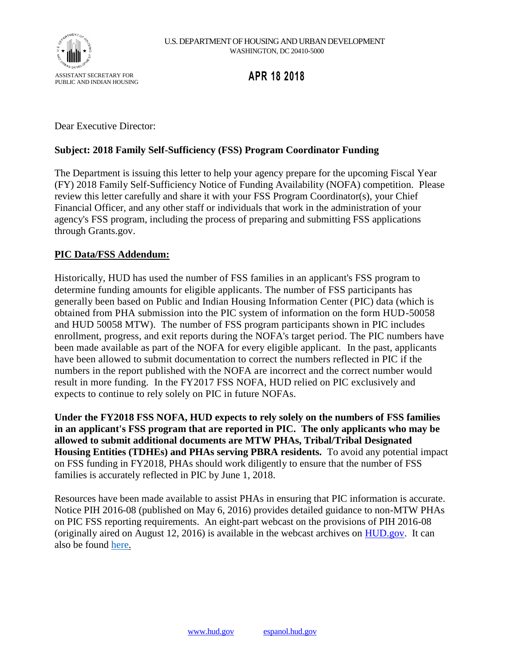

# **APR 18 2018**

Dear Executive Director:

## **Subject: 2018 Family Self-Sufficiency (FSS) Program Coordinator Funding**

The Department is issuing this letter to help your agency prepare for the upcoming Fiscal Year (FY) 2018 Family Self-Sufficiency Notice of Funding Availability (NOFA) competition. Please review this letter carefully and share it with your FSS Program Coordinator(s), your Chief Financial Officer, and any other staff or individuals that work in the administration of your agency's FSS program, including the process of preparing and submitting FSS applications through Grants.gov.

### **PIC Data/FSS Addendum:**

Historically, HUD has used the number of FSS families in an applicant's FSS program to determine funding amounts for eligible applicants. The number of FSS participants has generally been based on Public and Indian Housing Information Center (PIC) data (which is obtained from PHA submission into the PIC system of information on the form HUD-50058 and HUD 50058 MTW). The number of FSS program participants shown in PIC includes enrollment, progress, and exit reports during the NOFA's target period. The PIC numbers have been made available as part of the NOFA for every eligible applicant. In the past, applicants have been allowed to submit documentation to correct the numbers reflected in PIC if the numbers in the report published with the NOFA are incorrect and the correct number would result in more funding. In the FY2017 FSS NOFA, HUD relied on PIC exclusively and expects to continue to rely solely on PIC in future NOFAs.

**Under the FY2018 FSS NOFA, HUD expects to rely solely on the numbers of FSS families in an applicant's FSS program that are reported in PIC. The only applicants who may be allowed to submit additional documents are MTW PHAs, Tribal/Tribal Designated Housing Entities (TDHEs) and PHAs serving PBRA residents.** To avoid any potential impact on FSS funding in FY2018, PHAs should work diligently to ensure that the number of FSS families is accurately reflected in PIC by June 1, 2018.

Resources have been made available to assist PHAs in ensuring that PIC information is accurate. Notice PIH 2016-08 (published on May 6, 2016) provides detailed guidance to non-MTW PHAs on PIC FSS reporting requirements. An eight-part webcast on the provisions of PIH 2016-08 (originally aired on August 12, 2016) is available in the webcast archives on [HUD.gov.](http://hud.gov/) It can also be found [here.](https://www.youtube.com/playlist?list=PLDYbj6cykYZ_lMCqV8xcK2lQGpUf3RF6P)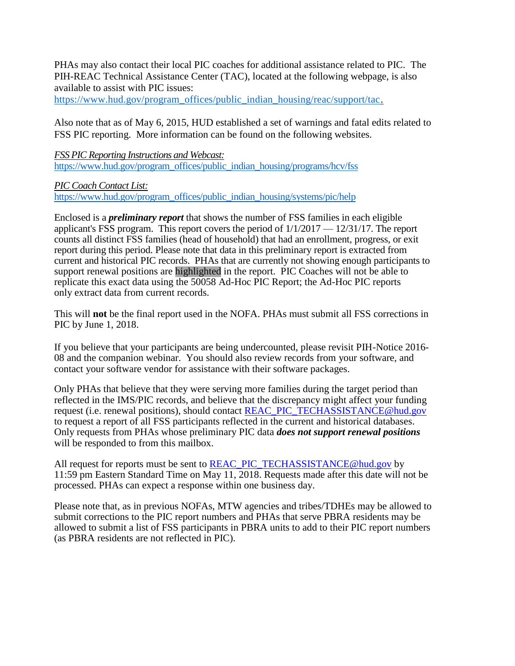PHAs may also contact their local PIC coaches for additional assistance related to PIC. The PIH-REAC Technical Assistance Center (TAC), located at the following webpage, is also available to assist with PIC issues:

[https://www.hud.gov/program\\_offices/public\\_indian\\_housing/reac/support/tac.](https://www.hud.gov/program_offices/public_indian_housing/reac/support/tac)

Also note that as of May 6, 2015, HUD established a set of warnings and fatal edits related to FSS PIC reporting. More information can be found on the following websites.

*FSS PIC Reporting Instructions and Webcast:*  [https://www.hud.gov/program\\_offices/public\\_indian\\_housing/programs/hcv/fss](https://www.hud.gov/program_offices/public_indian_housing/programs/hcv/fss)

*PIC Coach Contact List:* 

[https://www.hud.gov/program\\_offices/public\\_indian\\_housing/systems/pic/help](https://www.hud.gov/program_offices/public_indian_housing/systems/pic/help)

Enclosed is a *preliminary report* that shows the number of FSS families in each eligible applicant's FSS program. This report covers the period of 1/1/2017 — 12/31/17. The report counts all distinct FSS families (head of household) that had an enrollment, progress, or exit report during this period. Please note that data in this preliminary report is extracted from current and historical PIC records. PHAs that are currently not showing enough participants to support renewal positions are highlighted in the report. PIC Coaches will not be able to replicate this exact data using the 50058 Ad-Hoc PIC Report; the Ad-Hoc PIC reports only extract data from current records.

This will **not** be the final report used in the NOFA. PHAs must submit all FSS corrections in PIC by June 1, 2018.

If you believe that your participants are being undercounted, please revisit PIH-Notice 2016- 08 and the companion webinar. You should also review records from your software, and contact your software vendor for assistance with their software packages.

Only PHAs that believe that they were serving more families during the target period than reflected in the IMS/PIC records, and believe that the discrepancy might affect your funding request (i.e. renewal positions), should contact [REAC\\_PIC\\_TECHASSISTANCE@hud.gov](mailto:REAC_PIC_TECHASSISTANCE@hud.gov) to request a report of all FSS participants reflected in the current and historical databases. Only requests from PHAs whose preliminary PIC data *does not support renewal positions*  will be responded to from this mailbox.

All request for reports must be sent to **REAC\_PIC\_TECHASSISTANCE@hud.gov** by 11:59 pm Eastern Standard Time on May 11, 2018. Requests made after this date will not be processed. PHAs can expect a response within one business day.

Please note that, as in previous NOFAs, MTW agencies and tribes/TDHEs may be allowed to submit corrections to the PIC report numbers and PHAs that serve PBRA residents may be allowed to submit a list of FSS participants in PBRA units to add to their PIC report numbers (as PBRA residents are not reflected in PIC).